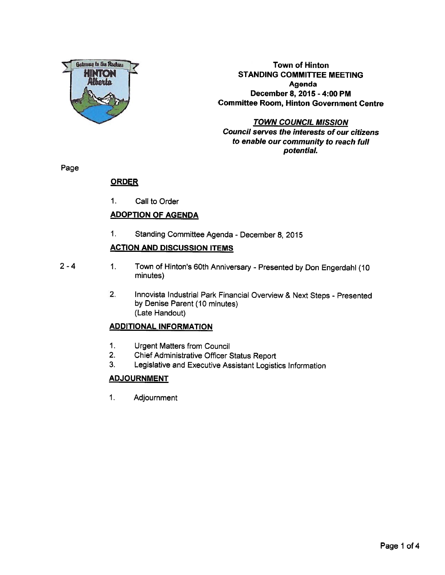

Town of Hinton **HINTON COMMITTEE MEETING**<br>Alberta Agenda Agenda December 8, 2015 - 4:00 PM Committee Room, Hinton Government Centre

> TOWN COUNCIL MISSION Council serves the interests of our citizens to enable our community to reach full potential.

Page

## **ORDER**

1. Call to Order

## ADOPTION OF AGENDA

1. Standing Committee Agenda - December 8, 2015

## ACTION AND DISCUSSION ITEMS

- 
- 2 4 1. Town of Hinton's 60th Anniversary Presented by Don Engerdahl (10 minutes)
	- 2. Innovista Industrial Park Financial Overview & Next Steps Presented by Denise Parent (10 minutes) (Late Handout)

## ADDITIONAL INFORMATION

- 1. Urgent Matters from Council
- 2. Chief Administrative Officer Status Report
- 3. Legislative and Executive Assistant Logistics Information

## **ADJOURNMENT**

1. Adjournment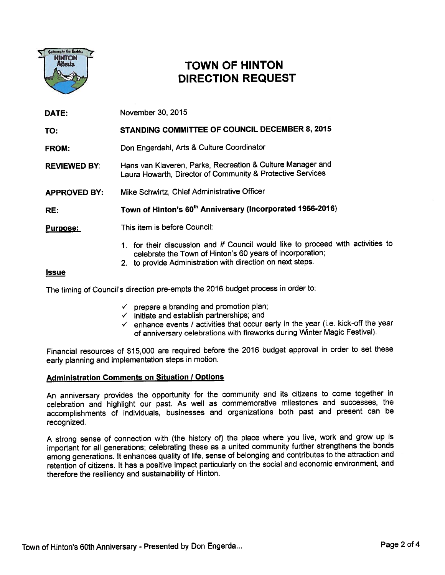

## **TOWN OF HINTON** DIRECTION REQUEST

DATE: November 30, 2015 TO: STANDING COMMITTEE OF COUNCIL DECEMBER 8, 2015 FROM: Don Engerdahl, Arts & Culture Coordinator REVIEWED BY: Hans van Klaveren, Parks, Recreation & Culture Manager and Laura Howarth, Director of Community & Protective Services APPROVED BY: Mike Schwirtz, Chief Administrative Officer RE: Town of Hinton's 60<sup>th</sup> Anniversary (Incorporated 1956-2016) Purpose: This item is before Council: 1. for their discussion and if Council would like to proceed with activities to celebrate the Town of Hinton's 60 years of incorporation;

#### 2. to provide Administration with direction on next steps.

#### **Issue**

The timing of Council's direction pre-empts the <sup>2016</sup> budget process in order to:

- $\checkmark$  prepare a branding and promotion plan;
- $\checkmark$  initiate and establish partnerships; and
- $\checkmark$  enhance events / activities that occur early in the year (i.e. kick-off the year of anniversary celebrations with fireworks during Winter Magic Festival).

Financial resources of \$15,000 are required before the <sup>2016</sup> budget approva<sup>l</sup> in order to set these early <sup>p</sup>lanning and implementation steps in motion.

#### **Administration Comments on Situation / Options**

An anniversary provides the opportunity for the community and its citizens to come together in celebration and highlight our past. As well as commemorative milestones and successes, the accomplishments of individuals, businesses and organizations both pas<sup>t</sup> and presen<sup>t</sup> can be recognized.

<sup>A</sup> strong sense of connection with (the history of) the <sup>p</sup>lace where you live, work and grow up is important for all generations; celebrating these as <sup>a</sup> united community further strengthens the bonds among generations. It enhances quality of life, sense of belonging and contributes to the attraction and retention of citizens. It has <sup>a</sup> positive impact particularly on the social and economic environment, and therefore the resiliency and sustainability of Hinton.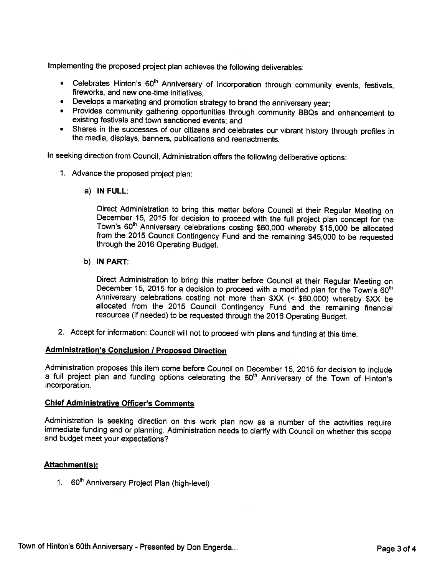Implementing the proposed project <sup>p</sup>lan achieves the following deliverables:

- Celebrates Hinton's 60<sup>th</sup> Anniversary of Incorporation through community events, festivals<br>fireworks, and new one-time initiatives;
- Develops <sup>a</sup> marketing and promotion strategy to brand the anniversary year;
- Provides community gathering opportunities through community BBQs and enhancement to existing festivals and town sanctioned events; and
- Shares in the successes of our citizens and celebrates our vibrant history through profiles in the media, displays, banners, publications and reenactments.

In seeking direction from Council, Administration offers the following deliberative options:

- 1. Advance the proposed project <sup>p</sup>lan:
	- a) IN FULL:

Direct Administration to bring this matter before Council at their Regular Meeting on December 15, 2015 for decision to proceed with the full project plan concept for the Town's 60<sup>th</sup> Anniversary celebrations costing \$60, from the <sup>2015</sup> Council Contingency Fund and the remaining \$45,000 to be requested through the <sup>2016</sup> Operating Budget.

b) IN PART:

Direct Administration to bring this matter before Council at their Regular Meeting on December 15, 2015 for a decision to proceed with a modified plan for the Town's 60<sup>th</sup> Anniversary celebrations costing not more than \$ allocated from the 2015 Council Contingency Fund and the remaining financial resources (if needed) to be requested through the <sup>2016</sup> Operating Budget.

2. Accept for information: Council will not to proceed with <sup>p</sup>lans and funding at this time.

#### Administration's Conclusion / Proposed Direction

Administration proposes this item come before Council on December 15, <sup>2015</sup> for decision to include a full project plan and funding options celebrating the 60<sup>th</sup> Anniversary of the Town of Hinton's incorporation.

#### Chief Administrative Officer's Comments

Administration is seeking direction on this work plan now as a number of the activities require immediate funding and or planning. Administration needs to clarify with Council on whether this scope and budget meet your exp

#### Attachment(s):

1. 60<sup>th</sup> Anniversary Project Plan (high-level)